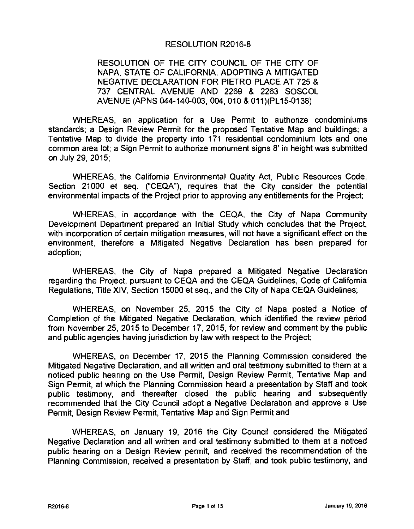#### RESOLUTION R2016-8

RESOLUTION OF THE CITY COUNCIL OF THE CITY OF NAPA, STATE OF CALIFORNIA, ADOPTING A MITIGATED NEGATIVE DECLARATION FOR PIETRO PLACE AT 725 & 737 CENTRAL AVENUE AND 2269 & 2263 SOSCOL AVENUE (APNS 044-140-003, 004, 010 & 011)(PL15-0138)

WHEREAS, an application for a Use Permit to authorize condominiums standards; a Design Review Permit for the proposed Tentative Map and buildings; a Tentative Map to divide the property into 171 residential condominium lots and one common area lot; a Sign Permit to authorize monument signs 8' in height was submitted on July 29, 2015;

WHEREAS, the California Environmental Quality Act, Public Resources Code, Section 21000 et seq. ("CEQA"), requires that the City consider the potential environmental impacts of the Project prior to approving any entitlements for the Project;

WHEREAS, in accordance with the CEQA, the City of Napa Community Development Department prepared an Initial Study which concludes that the Project, with incorporation of certain mitigation measures, will not have a significant effect on the environment, therefore a Mitigated Negative Declaration has been prepared for adoption;

WHEREAS, the City of Napa prepared a Mitigated Negative Declaration regarding the Project, pursuant to CEQA and the CEQA Guidelines, Code of California Regulations, Title XIV, Section 15000 et seq., and the City of Napa CEQA Guidelines;

WHEREAS, on November 25, 2015 the City of Napa posted a Notice of Completion of the Mitigated Negative Declaration, which identified the review period from November 25, 2015 to December 17, 2015, for review and comment by the public and public agencies having jurisdiction by law with respect to the Project;

WHEREAS, on December 17, 2015 the Planning Commission considered the Mitigated Negative Declaration, and all written and oral testimony submitted to them at a noticed public hearing on the Use Permit, Design Review Permit, Tentative Map and Sign Permit, at which the Planning Commission heard a presentation by Staff and took public testimony, and thereafter closed the public hearing and subsequently recommended that the City Council adopt a Negative Declaration and approve a Use Permit, Design Review Permit, Tentative Map and Sign Permit and

WHEREAS, on January 19, 2016 the City Council considered the Mitigated Negative Declaration and all written and oral testimony submitted to them at a noticed public hearing on a Design Review permit, and received the recommendation of the Planning Commission, received a presentation by Staff, and took public testimony, and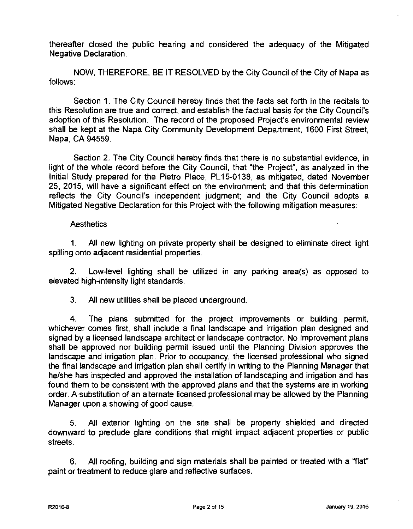thereafter closed the public hearing and considered the adequacy of the Mitigated Negative Declaration.

NOW, THEREFORE, BE IT RESOLVED by the City Council of the City of Napa as follows:

Section 1. The City Council hereby finds that the facts set forth in the recitals to this Resolution are true and correct, and establish the factual basis for the City Council's adoption of this Resolution. The record of the proposed Project's environmental review shall be kept at the Napa City Community Development Department, 1600 First Street, Napa, CA 94559.

Section 2. The City Council hereby finds that there is no substantial evidence, in light of the whole record before the City Council, that "the Project", as analyzed in the Initial Study prepared for the Pietro Place, PL15-0138, as mitigated, dated November 25, 2015, will have a significant effect on the environment; and that this deterrnination reflects the City Council's independent judgment; and the City Council adopts a Mitigated Negative Declaration for this Project with the following mitigation measures:

#### **Aesthetics**

1. All new lighting on private property shall be designed to eliminate direct light spilling onto adjacent residential properties.

2. Low-level lighting shall be utilized in any parking area(s) as opposed to elevated high-intensity light standards.

3. All new utilities shall be placed underground.

4. The plans submitted for the project improvements or building permit, whichever comes first, shall include a final landscape and irrigation plan designed and signed by a licensed landscape architect or landscape contractor. No improvement plans shall be approved nor building permit issued until the Planning Division approves the landscape and irrigation plan. Prior to occupancy, the licensed professional who signed the final landscape and irrigation plan shall certify in writing to the Planning Manager that he/she has inspected and approved the installation of landscaping and irrigation and has found them to be consistent with the approved plans and that the systems are in working order. A substitution of an alternate licensed professional may be allowed by the Planning Manager upon a showing of good cause.

5. All exterior lighting on the site shall be property shielded and directed downward to preclude glare conditions that might impact adjacent properties or public streets.

6. All roofing, building and sign materials shall be painted or treated with a "flat" paint or treatment to reduce glare and reflective surfaces.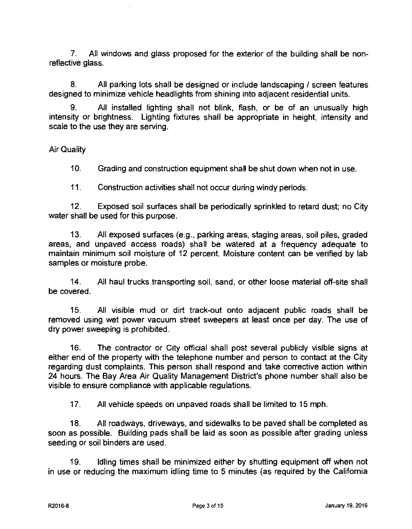7. All windows and glass proposed for the exterior of the building shall be nonreflective glass.

8. All parking lots shall be designed or include landscaping / screen features designed to minimize vehicle headlights from shining into adjacent residential units.

9. All installed lighting shall not blink, flash, or be of an unusually high intensity or brightness. Lighting fixtures shall be appropriate in height, intensity and scale to the use they are serving.

Air Quality

10. Grading and construction equipment shall be shut down when not in use.

11. Construction activities shall not occur during windy periods.

12. Exposed soil surfaces shall be periodically sprinkled to retard dust; no City water shall be used for this purpose.

13. All exposed surfaces (e.g., parking areas, staging areas, soil piles, graded areas, and unpaved access roads) shall be watered at a frequency adequate to maintain minimum soil moisture of 12 percent. Moisture content can be verified by lab samples or moisture probe.

14. All haul trucks transporting soil, sand, or other loose material off-site shall be covered.

15. All visible mud or dirt track-out onto adjacent public roads shall be removed using wet power vacuum street sweepers at least once per day. The use of dry power sweeping is prohibited.

16. The contractor or City official shall post several publicly visible signs at either end of the property with the telephone number and person to contact at the City regarding dust complaints. This person shall respond and take corrective action within 24 hours. The Bay Area Air Quality Management District's phone number shall also be visible to ensure compliance with applicable regulations.

17. All vehicle speeds on unpaved roads shall be limited to 15 mph.

18. All roadways, driveways, and sidewalks to be paved shall be completed as soon as possible. Building pads shall be laid as soon as possible after grading unless seeding or soil binders are used.

19. Idling times shall be minimized either by shutting equipment off when not in use or reducing the maximum idling time to 5 minutes (as required by the California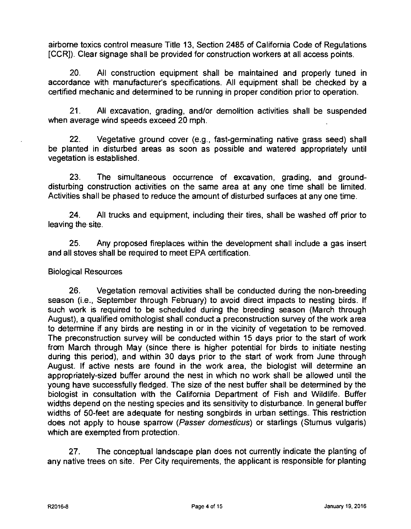airborne toxics control measure Title 13, Section 2485 of California Code of Regulations [CCR]). Clear signage shall be provided for construction workers at all access points.

20. All construction equipment shall be maintained and properly tuned in accordance with manufacturer's specifications. All equipment shall be checked by a certified mechanic and determined to be running in proper condition prior to operation.

21. All excavation, grading, and/or demolition activities shall be suspended when average wind speeds exceed 20 mph.

22. Vegetative ground cover (e.g., fast-germinating native grass seed) shall be planted in disturbed areas as soon as possible and watered appropriately until vegetation is established.

23. The simultaneous occurrence of excavation, grading, and grounddisturbing construction activities on the same area at any one time shall be limited. Activities shall be phased to reduce the amount of disturbed surfaces at any one time.

24. All trucks and equipment, including their tires, shall be washed off prior to leaving the site.

25. Any proposed fireplaces within the development shall include a gas insert and all stoves shall be required to meet EPA certification.

## Biological Resources

26. Vegetation removal activities shall be conducted during the non-breeding season (i.e., September through February) to avoid direct impacts to nesting birds. If such work is required to be scheduled during the breeding season (March through August), a qualified ornithologist shall conduct a preconstruction survey of the work area to determine if any birds are nesting in or in the vicinity of vegetation to be removed. The preconstruction survey will be conducted within 15 days prior to the start of work from March through May (since there is higher potential for birds to initiate nesting during this period), and within 30 days prior to the start of work from June through August. If active nests are found in the work area, the biologist will determine an appropriately-sized buffer around the nest in which no work shall be allowed until the young have successfully fledged. The size of the nest buffer shall be determined by the biologist in consultation with the California Department of Fish and Wildlife. Buffer widths depend on the nesting species and its sensitivity to disturbance. In general buffer widths of 50-feet are adequate for nesting songbirds in urban settings. This restriction does not apply to house sparrow (Passer domesticus) or starlings (Sturnus vulgaris) which are exempted from protection.

27. The conceptual landscape plan does not currently indicate the planting of any native trees on site. Per City requirements, the applicant is responsible for planting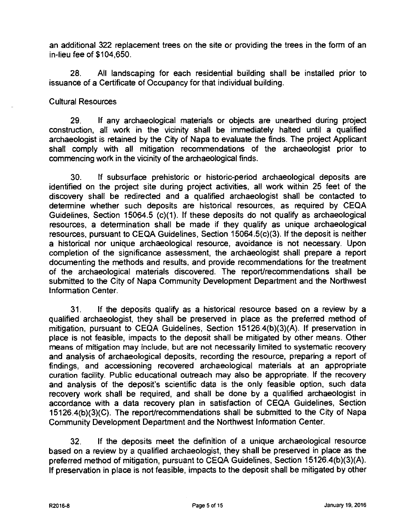an additional 322 replacement trees on the site or providing the trees in the form of an in-lieu fee of \$104,650.

28. All landscaping for each residential building shall be installed prior to issuance of a Certificate of Occupancy for that individual building.

#### Cultural Resources

29. If any archaeological materials or objects are unearthed during project construction, all work in the vicinity shall be immediately halted until a qualified archaeologist is retained by the City of Napa to evaluate the finds. The project Applicant shall comply with all mitigation recommendations of the archaeologist prior to commencing work in the vicinity of the archaeological finds.

30. If subsurface prehistoric or historic-period archaeological deposits are identified on the project site during project activities, all work within 25 feet of the discovery shall be redirected and a qualified archaeologist shall be contacted to determine whether such deposits are historical resources, as required by CEQA Guidelines, Section 15064.5 (c)(1). If these deposits do not qualify as archaeological resources, a determination shall be made if they qualify as unique archaeological resources, pursuant to CEQA Guidelines, Section 15064.5(c)(3). If the deposit is neither a historical nor unique archaeological resource, avoidance is not necessary. Upon completion of the significance assessment, the archaeologist shall prepare a report documenting the methods and results, and provide recommendations for the treatment of the archaeological materials discovered. The report/recommendations shall be submitted to the City of Napa Community Development Department and the Northwest Information Center.

31. If the deposits qualify as a historical resource based on a review by a qualified archaeologist, they shall be preserved in place as the preferred method of mitigation, pursuant to CEQA Guidelines, Section 15126.4(b)(3)(A). If preservation in place is not feasible, impacts to the deposit shall be mitigated by other means. Other means of mitigation may include, but are not necessarily limited to systematic recovery and analysis of archaeological deposits, recording the resource, preparing a report of findings, and accessioning recovered archaeological materials at an appropriate curation facility. Public educational outreach may also be appropriate. If the recovery and analysis of the deposit's scientific data is the only feasible option, such data recovery work shall be required, and shall be done by a qualified archaeologist in accordance with a data recovery plan in satisfaction of CEQA Guidelines, Section 15126.4(b)(3)(C). The report/recommendations shall be submitted to the City of Napa Community Development Department and the Northwest Information Center.

32. If the deposits meet the definition of a unique archaeological resource based on a review by a qualified archaeologist, they shall be preserved in place as the preferred method of mitigation, pursuant to CEQA Guidelines, Section 15126.4(b)(3)(A). If preservation in place is not feasible, impacts to the deposit shall be mitigated by other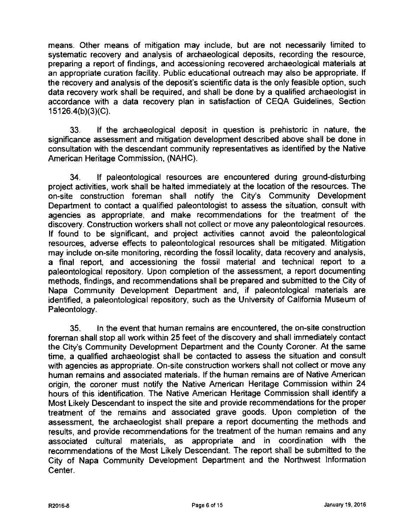means. Other means of mitigation may include, but are not necessarily limited to systematic recovery and analysis of archaeological deposits, recording the resource, preparing a report of findings, and accessioning recovered archaeological materials at an appropriate curation facility. Public educational outreach may also be appropriate. If the recovery and analysis of the deposit's scientific data is the only feasible option, such data recovery work shall be required, and shall be done by a qualified archaeologist in accordance with a data recovery plan in satisfaction of CEQA Guidelines, Section 15126.4(b)(3)(C).

33. If the archaeological deposit in question is prehistoric in nature, the significance assessment and mitigation development described above shall be done in consultation with the descendant community representatives as identified by the Native American Heritage Commission, (NAHC).

34. If paleontological resources are encountered during ground-disturbing project activities, work shall be halted immediately at the location of the resources. The on-site construction foreman shall notify the City's Community Development Department to contact a qualified paleontologist to assess the situation, consult with agencies as appropriate, and make recommendations for the treatment of the discovery. Construction workers shall not collect or move any paleontological resources If found to be significant, and project activities cannot avoid the paleontological resources, adverse effects to paleontological resources shall be mitigated. Mitigation may include on-site monitoring, recording the fossil locality, data recovery and analysis, a final report, and accessioning the fossil material and technical report to a paleontological repository. Upon completion of the assessment, a report documenting methods, findings, and recommendations shall be prepared and submitted to the City of Napa Community Development Department and, if paleontological materials are identified, a paleontological repository, such as the University of California Museum of Paleontology.

35. In the event that human remains are encountered, the on-site construction foreman shall stop all work within 25 feet of the discovery and shall immediately contact the City's Community Development Department and the County Coroner. At the same time, a qualified archaeologist shall be contacted to assess the situation and consult with agencies as appropriate. On-site construction workers shall not collect or move any human remains and associated materials. If the human remains are of Native American origin, the coroner must notify the Native American Heritage Commission within 24 hours of this identification. The Native American Heritage Commission shall identify a Most Likely Descendant to inspect the site and provide recommendations for the proper treatment of the remains and associated grave goods. Upon completion of the assessment, the archaeologist shall prepare a report documenting the methods and results, and provide recommendations for the treatment of the human remains and any associated cultural materials, as appropriate and in coordination with the recommendations of the Most Likely Descendant. The report shall be submitted to the City of Napa Community Development Department and the Northwest Information Center.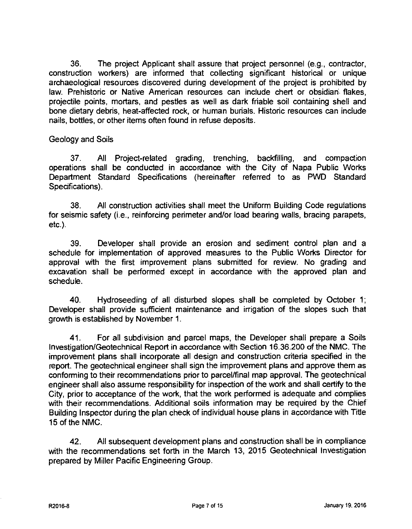36. The project Applicant shall assure that project personnel (e.g., contractor, construction workers) are informed that collecting significant historical or unique archaeological resources discovered during development of the project is prohibited by law. Prehistoric or Native American resources can include chert or obsidian', flakes, projectile points, mortars, and pestles as well as dark friable soil containing shell and bone dietary debris, heat-affected rock, or human burials. Historic resources can include nails, bottles, or other items often found in refuse deposits.

## Geology and Soils

37. All Project-related grading, trenching, backfilling, and compaction operations shall be conducted in accordance with the City of Napa Public Works Department Standard Specifications (hereinafter referred to as PWD Standard Specifications).

38. All construction activities shall meet the Uniform Building Code regulations for seismic safety (i.e., reinforcing perimeter and/or load bearing walls, bracing parapets, etc.).

39. Developer shall provide an erosion and sediment control plan and a schedule for implementation of approved measures to the Public Works Director for approval with the first improvement plans submitted for review. No grading and excavation shall be performed except in accordance with the approved plan and schedule.

40. Hydroseeding of all disturbed slopes shall be completed by October 1; Developer shall provide sufficient maintenance and irrigation of the slopes such that growth is established by November 1.

41. For all subdivision and parcel maps, the Developer shall prepare a Soils Investigation/Geotechnical Report in accordance with Section 16.36.200 of the NMC. The improvement plans shall incorporate all design and construction criteria specified in the report. The geotechnical engineer shall sign the improvement plans and approve them as conforming to their recommendations prior to parcel/final map approval. The geotechnical engineer shall also assume responsibility for inspection of the work and shall certify to the City, prior to acceptance of the work, that the work performed is adequate and complies with their recommendations. Additional soils information may be required by the Chief Building Inspector during the plan check of individual house plans in accordance with Title 15 of the NMC.

42. All subsequent development plans and construction shall be in compliance with the recommendations set forth in the March 13, 2015 Geotechnical Investigation prepared by Miller Pacific Engineering Group.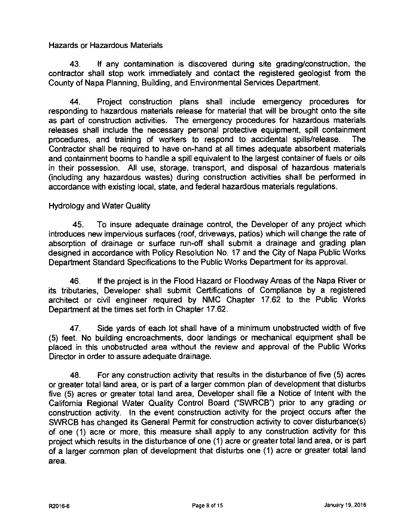Hazards or Hazardous Materials

43. If any contamination is discovered during site grading/construction, the contractor shall stop work immediately and contact the registered geologist from the County of Napa Planning, Building, and Environmental Services Department.

44. Project construction plans shall include emergency procedures for responding to hazardous materials release for material that will be brought onto the site as part of construction activities. The emergency procedures for hazardous materials releases shall include the necessary personal protective equipment, spill containment procedures, and training of workers to respond to accidental spills/release. The Contractor shall be required to have on-hand at all times adequate absorbent materials and containment booms to handle a spill equivalent to the largest container of fuels or oils in their possession. All use, storage, transport, and disposal of hazardous materials (including any hazardous wastes) during construction activities shall be performed in accordance with existing local, state, and federal hazardous materials regulations.

## Hydrology and Water Quality

45. To insure adequate drainage control, the Developer of any project which introduces new impervious surfaces (roof, driveways, patios) which will change the rate of absorption of drainage or surface run-off shall submit a drainage and grading plan designed in accordance with Policy Resolution No. 17 and the City of Napa Public Works Department Standard Specifications to the Public Works Department for its approval.

46. If the project is in the Flood Hazard or Floodway Areas of the Napa River or its tributaries, Developer shall submit Certifications of Compliance by a registered architect or civil engineer required by NMC Chapter 17.62 to the Public Works Department at the times set forth in Chapter 17.62.

47. Side yards of each lot shall have of a minimum unobstructed width of five (5) feet. No building encroachments, door landings or mechanical equipment shall be placed in this unobstructed area without the review and approval of the Public Works Director in order to assure adequate drainage.

48. For any construction activity that results in the disturbance of five (5) acres or greater total land area, or is part of a larger common plan of development that disturbs five (5) acres or greater total land area, Developer shall file a Notice of Intent with the California Regional Water Quality Control Board ("SWRCB") prior to any grading or construction activity. In the event construction activity for the project occurs after the SWRCB has changed its General Permit for construction activity to cover disturbance(s) of one (1) acre or more, this measure shall apply to any construction activity for this project which results in the disturbance of one (1) acre or greater total land area, or is part of a larger common plan of development that disturbs one (1) acre or greater total land area.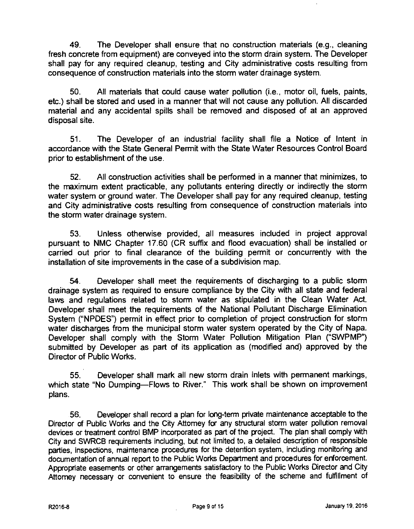49. The Developer shall ensure that no construction materials (e.g., cleaning fresh concrete from equipment) are conveyed into the storm drain system. The Developer shall pay for any required cleanup, testing and City administrative costs resulting from consequence of construction materials into the storm water drainage system.

50. All materials that could cause water pollution (i.e., motor oil, fuels, paints, etc.) shall be stored and used in a manner that will not cause any pollution. All discarded material and any accidental spills shall be removed and disposed of at an approved disposal site.

51. The Developer of an industrial facility shall file a Notice of Intent in accordance with the State General Permit with the State Water Resources Control Board prior to establishment of the use.

52. All construction activities shall be performed in a manner that minimizes, to the maximum extent practicable, any pollutants entering directly or indirectly the storm water system or ground water. The Developer shall pay for any required cleanup, testing and City administrative costs resulting from consequence of construction materials into the storm water drainage system.

53. Unless otherwise provided, all measures included in project approval pursuant to NMC Chapter 17.60 (CR suffix and flood evacuation) shall be installed or carried out prior to final clearance of the building permit or concurrently with the installation of site improvements in the case of a subdivision map.

54. Developer shall meet the requirements of discharging to a public storm drainage system as required to ensure compliance by the City with all state and federal laws and regulations related to storm water as stipulated in the Clean Water Act. Developer shall meet the requirements of the National Pollutant Discharge Elimination System ("NPDES") permit in effect prior to completion of project construction for storm water discharges from the municipal storm water system operated by the City of Napa. Developer shall comply with the Storm Water Pollution Mitigation Plan ("SWPMP") submitted by Developer as part of its application as (modified and) approved by the Director of Public Works.

55. Developer shall mark all new storm drain inlets with permanent markings, which state "No Dumping—Flows to River." This work shall be shown on improvement plans.

56. Developer shall record a plan for long-term private maintenance acceptable to the Director of Public Works and the City Attorney for any structural storm water pollution removal devices or treatment control BMP incorporated as part of the project. The plan shall comply with City and SWRCB requirements including, but not limited to, a detailed description of responsible parties, inspections, maintenance procedures for the detention system, including monitoring and documentation of annual report to the Public Works Department and procedures for enforcement. Appropriate easements or other arrangements satisfactory to the Public Works Director and City Attorney necessary or convenient to ensure the feasibility of the scheme and fulfillment of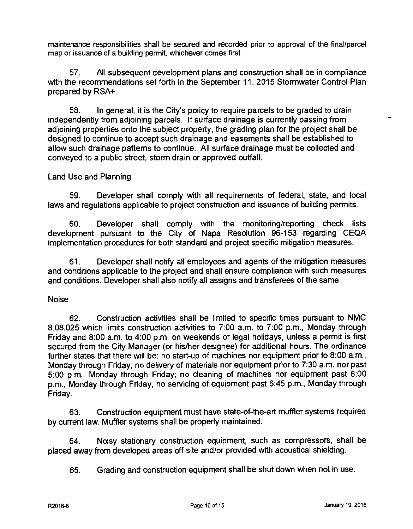maintenance responsibilities shall be secured and recorded prior to approval of the final/parcel map or issuance of a building permit, whichever comes first.

57. All subsequent development plans and construction shall be in compliance with the recommendations set forth in the September 11, 2015 Stormwater Control Plan prepared by RSA+.

58. In general, it is the City's policy to require parcels to be graded to drain independently from adjoining parcels. If surface drainage is currently passing from adjoining properties onto the subject property, the grading plan for the project shall be designed to continue to accept such drainage and easements shall be established to allow such drainage patterns to continue. All surface drainage must be collected and conveyed to a public street, storm drain or approved ouffall.

Land Use and Planning

59. Developer shall comply with all requirements of federal, state, and local laws and regulations applicable to project construction and issuance of building permits.

60. Developer shall comply with the monitoring/reporting check lists development pursuant to the City of Napa Resolution 96-153 regarding CEQA implementation procedures for both standard and project specific mitigation measures.

61. Developer shall notify all employees and agents of the mitigation measures and conditions applicable to the project and shall ensure compliance with such measures and conditions. Developer shall also notify all assigns and transferees of the same.

## Noise

62. Construction activities shall be limited to specific times pursuant to NMC 8.08.025 which limits construction activities to 7:00 a.m. to 7:00 p.m., Monday through Friday and 8:00 a.m. to 4:00 p.m. on weekends or legal holidays, unless a permit is first secured from the City Manager (or his/her designee) for additional hours. The ordinance further states that there will be: no start-up of machines nor equipment prior to 8:00 a.m., Monday through Friday; no delivery of materials nor equipment prior to 7:30 a.m. nor past 5:00 p.m., Monday through Friday; no cleaning of machines nor equipment past 6:00 p.m., Monday through Friday; no servicing of equipment past 6:45 p.m., Monday through Friday.

63. Construction equipment must have state-of-the-art muffler systems required by current law. Muffler systems shall be properly maintained.

64. Noisy stationary construction equipment, such as compressors, shall be placed away from developed areas off-site and/or provided with acoustical shielding.

65. Grading and construction equipment shall be shut down when not in use.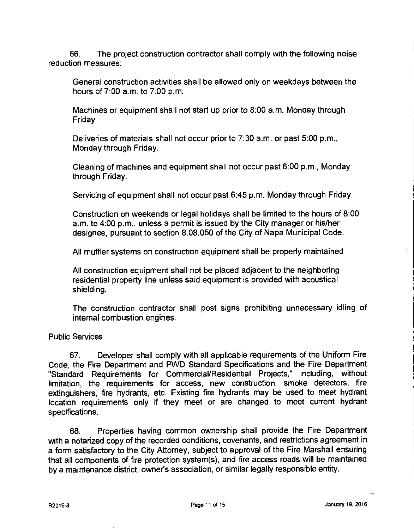66. The project construction contractor shall comply with the following noise reduction measures:

General construction activities shall be allowed only on weekdays between the hours of 7:00 a.m. to 7:00 p.m.

Machines or equipment shall not start up prior to 8:00 a.m. Monday through **Friday** 

Deliveries of materials shall not occur prior to 7:30 a.m. or past 5:00 p.m., Monday through Friday.

Cleaning of machines and equipment shall not occur past 6:00 p.m., Monday through Friday.

Servicing of equipment shall not occur past 6:45 p.m. Monday through Friday.

Construction on weekends or legal holidays shall be limited to the hours of 8:00 a.m. to 4:00 p.m., unless a permit is issued by the City manager or his/her designee, pursuant to section 8.08.050 of the City of Napa Municipal Code.

All muffler systems on construction equipment shall be properly maintained

All construction equipment shall not be placed adjacent to the neighboring residential property line unless said equipment is provided with acoustical shielding.

The construction contractor shall post signs prohibiting unnecessary idling of internal combustion engines.

## Public Services

67. Developer shall comply with all applicable requirements of the Uniform Fire Code, the Fire Department and PWD Standard Specifications and the Fire Department "Standard Requirements for Commercial/Residential Projects," including, without limitation, the requirements for access, new construction, smoke detectors, fire extinguishers, fire hydrants, etc. Existing fire hydrants may be used to meet hydrant location requirements only if they meet or are changed to meet current hydrant specifications.

68. Properties having common ownership shall provide the Fire Department with a notarized copy of the recorded conditions, covenants, and restrictions agreement in a form satisfactory to the City Attorney, subject to approval of the Fire Marshall ensuring that all components of fire protection system(s), and fire access roads will be maintained by a maintenance district, owner's association, or similar legally responsible entity.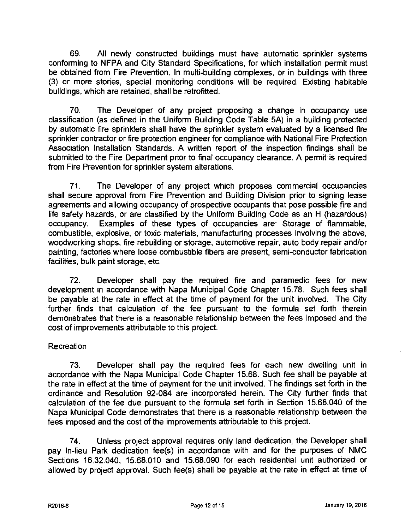69. All newly constructed buildings must have automatic sprinkler systems conforming to NFPA and City Standard Specifications, for which installation permit must be obtained from Fire Prevention. In multi-building complexes, or in buildings with three (3) or more stories, special monitoring conditions will be required. Existing habitable buildings, which are retained, shall be retrofitted.

70. The Developer of any project proposing a change in occupancy use classification (as defined in the Uniform Building Code Table 5A) in a building protected by automatic fire sprinklers shall have the sprinkler system evaluated by a licensed fire sprinkler contractor or fire protection engineer for compliance with National Fire Protection Association Installation Standards. A written report of the inspection findings shall be submitted to the Fire Department prior to final occupancy clearance. A permit is required from Fire Prevention for sprinkler system alterations.

71. The Developer of any project which proposes commercial occupancies shall secure approval from Fire Prevention and Building Division prior to signing lease agreements and allowing occupancy of prospective occupants that pose possible fire and life safety hazards, or are classified by the Uniform Building Code as an H (hazardous) occupancy. Examples of these types of occupancies are: Storage of flammable, combustible, explosive, or toxic materials, manufacturing processes involving the above, woodworking shops, fire rebuilding or storage, automotive repair, auto body repair and/or painting, factories where loose combustible fibers are present, semi-conductor fabrication facilities, bulk paint storage, etc.

72. Developer shall pay the required fire and paramedic fees for new development in accordance with Napa Municipal Code Chapter 15.78. Such fees shall be payable at the rate in effect at the time of payment for the unit involved. The City further finds that calculation of the fee pursuant to the formula set forth therein demonstrates that there is a reasonable relationship between the fees imposed and the cost of improvements attributable to this project.

# **Recreation**

73. Developer shall pay the required fees for each new dwelling unit in accordance with the Napa Municipal Code Chapter 15.68. Such fee shall be payable at the rate in effect at the time of payment for the unit involved. The findings set forth in the ordinance and Resolution 92-084 are incorporated herein. The City further finds that calculation of the fee due pursuant to the formula set forth in Section 15.68.040 of the Napa Municipal Code demonstrates that there is a reasonable relationship between the fees imposed and the cost of the improvements attributable to this project.

74. Unless project approval requires only land dedication, the Developer shall pay In-lieu Park dedication fee(s) in accordance with and for the purposes of NMC Sections 16.32.040, 15.68.010 and 15.68.090 for each residential unit authorized or allowed by project approval. Such fee(s) shall be payable at the rate in effect at time of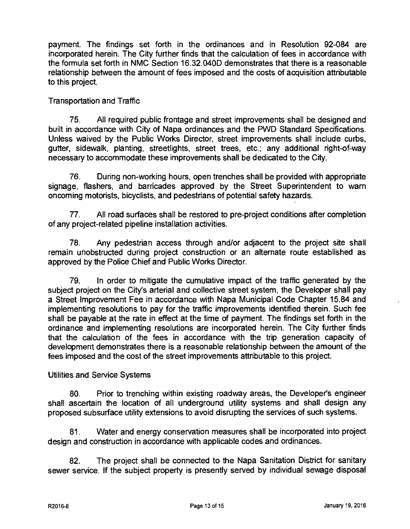payment. The findings set forth in the ordinances and in Resolution 92-084 are incorporated herein. The City further finds that the calculation of fees in accordance with the formula set forth in NMC Section 16.32.040D demonstrates that there is a reasonable relationship between the amount of fees imposed and the costs of acquisition attributable to this project.

# Transportation and Traffic

75. All required public frontage and street improvements shall be designed and built in accordance with City of Napa ordinances and the PWD Standard Specifications. Unless waived by the Public Works Director, street improvements shall include curbs, gutter, sidewalk, planting, streetlights, street trees, etc.; any additional right-of-way necessary to accommodate these improvements shall be dedicated to the City.

76. During non-working hours, open trenches shall be provided with appropriate signage, flashers, and barricades approved by the Street Superintendent to warn oncoming motorists, bicyclists, and pedestrians of potential safety hazards.

77. All road surfaces shall be restored to pre-project conditions after completion of any project-related pipeline installation activities.

78. Any pedestrian access through and/or adjacent to the project site shall remain unobstructed during project construction or an alternate route established as approved by the Police Chief and Public Works Director.

79. In order to mitigate the cumulative impact of the traffic generated by the subject project on the City's arterial and collective street system, the Developer shall pay a Street Improvement Fee in accordance with Napa Municipal Code Chapter 15.84 and implementing resolutions to pay for the traffic improvements identified therein. Such fee shall be payable at the rate in effect at the time of payment. The findings set forth in the ordinance and implementing resolutions are incorporated herein. The City further finds that the calculation of the fees in accordance with the trip generation capacity of development demonstrates there is a reasonable relationship between the amount of the fees imposed and the cost of the street improvements attributable to this project.

Utilities and Service Systems

80. Prior to trenching within existing roadway areas, the Developer's engineer shall ascertain the location of all underground utility systems and shall design any proposed subsurface utility extensions to avoid disrupting the services of such systems.

81. Water and energy conservation measures shall be incorporated into project design and construction in accordance with applicable codes and ordinances.

82. The project shall be connected to the Napa Sanitation District for sanitary sewer service. If the subject property is presently served by individual sewage disposal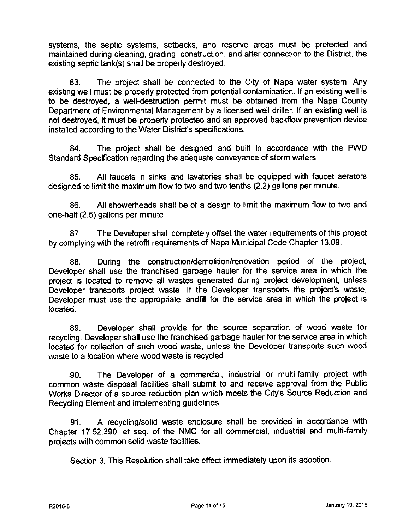systems, the septic systems, setbacks, and reserve areas must be protected and maintained during cleaning, grading, construction, and after connection to the District, the existing septic tank(s) shall be properly destroyed.

83. The project shall be connected to the City of Napa water system. Any existing well must be properly protected from potential contamination. If an existing well is to be destroyed, a well-destruction permit must be obtained from the Napa County Department of Environmental Management by a licensed well driller. If an existing well is not destroyed, it must be properly protected and an approved backflow prevention device installed according to the Water District's specifications.

84. The project shall be designed and built in accordance with the PWD Standard Specification regarding the adequate conveyance of storm waters.

85. All faucets in sinks and lavatories shall be equipped with faucet aerators designed to limit the maximum flow to two and two tenths (2.2) gallons per minute.

86. All showerheads shall be of a design to limit the maximum flow to two and one-half (2.5) gallons per minute.

87. The Developer shall completely offset the water requirements of this project by complying with the retrofit requirements of Napa Municipal Code Chapter 13.09.

88. During the construction/demolition/renovation period of the project, Developer shall use the franchised garbage hauler for the service area in which the project is located to remove all wastes generated during project development, unless Developer transports project waste. If the Developer transports the project's waste, Developer must use the appropriate landfill for the service area in which the project is located.

89. Developer shall provide for the source separation of wood waste for recycling. Developer shall use the franchised garbage hauler for the service area in which located for collection of such wood waste, unless the Developer transports such wood waste to a location where wood waste is recycled.

90. The Developer of a commercial, industrial or multi-family project with common waste disposal facilities shall submit to and receive approval from the Public Works Director of a source reduction plan which meets the City's Source Reduction and Recycling Element and implementing guidelines.

91. A recycling/solid waste enclosure shall be provided in accordance with Chapter 17.52.390, et seq. of the NMC for all commercial, industrial and multi-family projects with common solid waste facilities.

Section 3. This Resolution shall take effect immediately upon its adoption.